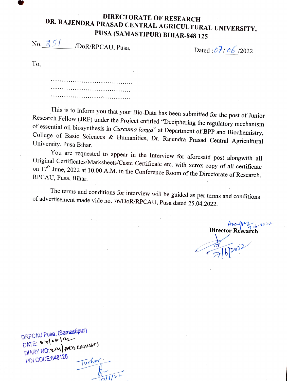## **DIRECTORATE OF RESEARCH<br>DR. RAJENDRA PRASAD CENTRAL AGRICULTURAL UNIVERSITY,<br>PUSA (SAMASTIPUR) BIHAR-848 125<br>No. 251 /Dor/RPCALL Puse**

 $\angle$ /DoR/RPCAU, Pusa, Dated:07/06/2022

To.

This is to inform you that your Bio-Data has been submitted for the post of Junior Research Fellow (JRF) under the Project entitled "Deciphering the regulatory mechanism of essential oil biosynthesis in *Curcuma longa*" at In essemian on biosynthesis in Curcuma longa" at Department of BPP and Biochemistry,<br>College of Basic Sciences & Humanities, Dr. Rajendra Prasad Central Agricultural<br>University, Pusa Bihar University, Pusa Bihar.

You are requested to appear in the Interview for aforesaid post alongwith all Original Certificates/Marksheets/Caste Certificate etc. with xerox copy of all certificate RPCAU, Pusa, Bihar.  $17<sup>th</sup>$  June, 2022 at 10.00 A.M. in the Conference Room of the Directorate of Research, CAU, Pusa, Bihar.

The terms and conditions for interview will be guided as per terms and conditions of advertisement made vide no. 76/DoR/RPCAU, Pusa dated 25.04.2022.

Anough  $\mathcal{L}_{16}$  20  $\mu$ 

 $202022$ 

DRPCAU Pusa, (Samasipur) DATE:  $\sqrt{1}$  b  $\sqrt{2}$ <br>DATE:  $\sqrt{2}$  del acus centures PIN CODE:848125 Turher